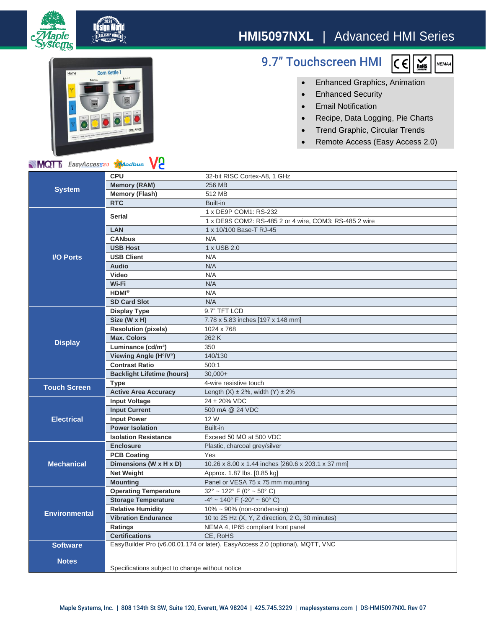

## **Corn Kettle 1**

MOT: EasyAccess20 Maodbus VC

le ns

## 9.7" Touchscreen HMI



- Enhanced Graphics, Animation
- Enhanced Security
- Email Notification
- Recipe, Data Logging, Pie Charts
- Trend Graphic, Circular Trends
- Remote Access (Easy Access 2.0)

| <b>NIVIUI</b> III <i>EasyACCESS</i> 20<br><b>Aylogous</b><br>V C |                                                                               |                                                                  |
|------------------------------------------------------------------|-------------------------------------------------------------------------------|------------------------------------------------------------------|
| <b>System</b>                                                    | <b>CPU</b>                                                                    | 32-bit RISC Cortex-A8, 1 GHz                                     |
|                                                                  | <b>Memory (RAM)</b>                                                           | 256 MB                                                           |
|                                                                  | <b>Memory (Flash)</b>                                                         | 512 MB                                                           |
|                                                                  | <b>RTC</b>                                                                    | Built-in                                                         |
| <b>I/O Ports</b>                                                 | <b>Serial</b>                                                                 | 1 x DE9P COM1: RS-232                                            |
|                                                                  |                                                                               | 1 x DE9S COM2: RS-485 2 or 4 wire, COM3: RS-485 2 wire           |
|                                                                  | LAN                                                                           | 1 x 10/100 Base-T RJ-45                                          |
|                                                                  | <b>CANbus</b>                                                                 | N/A                                                              |
|                                                                  | <b>USB Host</b>                                                               | 1 x USB 2.0                                                      |
|                                                                  | <b>USB Client</b>                                                             | N/A                                                              |
|                                                                  | <b>Audio</b>                                                                  | N/A                                                              |
|                                                                  | Video                                                                         | N/A                                                              |
|                                                                  | Wi-Fi                                                                         | N/A                                                              |
|                                                                  | $HDMI^{\otimes}$                                                              | N/A                                                              |
|                                                                  | <b>SD Card Slot</b>                                                           | N/A                                                              |
| <b>Display</b>                                                   | <b>Display Type</b>                                                           | 9.7" TFT LCD                                                     |
|                                                                  | Size (W x H)                                                                  | 7.78 x 5.83 inches [197 x 148 mm]                                |
|                                                                  | <b>Resolution (pixels)</b>                                                    | 1024 x 768                                                       |
|                                                                  | <b>Max. Colors</b>                                                            | 262 K                                                            |
|                                                                  | Luminance (cd/m <sup>2</sup> )                                                | 350                                                              |
|                                                                  | Viewing Angle (H°/V°)                                                         | 140/130                                                          |
|                                                                  | <b>Contrast Ratio</b>                                                         | 500:1                                                            |
|                                                                  | <b>Backlight Lifetime (hours)</b>                                             | $30.000+$                                                        |
| <b>Touch Screen</b>                                              | <b>Type</b>                                                                   | 4-wire resistive touch                                           |
|                                                                  | <b>Active Area Accuracy</b>                                                   | Length $(X) \pm 2\%$ , width $(Y) \pm 2\%$                       |
| <b>Electrical</b>                                                | <b>Input Voltage</b>                                                          | 24 ± 20% VDC                                                     |
|                                                                  | <b>Input Current</b>                                                          | 500 mA @ 24 VDC                                                  |
|                                                                  | <b>Input Power</b>                                                            | 12 W                                                             |
|                                                                  | <b>Power Isolation</b>                                                        | Built-in                                                         |
|                                                                  | <b>Isolation Resistance</b>                                                   | Exceed 50 M $\Omega$ at 500 VDC                                  |
| <b>Mechanical</b>                                                | <b>Enclosure</b>                                                              | Plastic, charcoal grey/silver                                    |
|                                                                  | <b>PCB Coating</b>                                                            | Yes                                                              |
|                                                                  | Dimensions (W x H x D)                                                        | 10.26 x 8.00 x 1.44 inches [260.6 x 203.1 x 37 mm]               |
|                                                                  | <b>Net Weight</b>                                                             | Approx. 1.87 lbs. [0.85 kg]                                      |
|                                                                  | <b>Mounting</b>                                                               | Panel or VESA 75 x 75 mm mounting                                |
| <b>Environmental</b>                                             | <b>Operating Temperature</b>                                                  | $32^{\circ}$ ~ 122 $^{\circ}$ F (0 $^{\circ}$ ~ 50 $^{\circ}$ C) |
|                                                                  | <b>Storage Temperature</b>                                                    | $-4^{\circ}$ ~ 140° F (-20° ~ 60° C)                             |
|                                                                  | <b>Relative Humidity</b>                                                      | $10\% \sim 90\%$ (non-condensing)                                |
|                                                                  | <b>Vibration Endurance</b>                                                    | 10 to 25 Hz (X, Y, Z direction, 2 G, 30 minutes)                 |
|                                                                  | <b>Ratings</b>                                                                | NEMA 4, IP65 compliant front panel                               |
|                                                                  | <b>Certifications</b>                                                         | CE, RoHS                                                         |
| <b>Software</b>                                                  | EasyBuilder Pro (v6.00.01.174 or later), EasyAccess 2.0 (optional), MQTT, VNC |                                                                  |
| <b>Notes</b>                                                     |                                                                               |                                                                  |
|                                                                  |                                                                               |                                                                  |
|                                                                  | Specifications subject to change without notice                               |                                                                  |